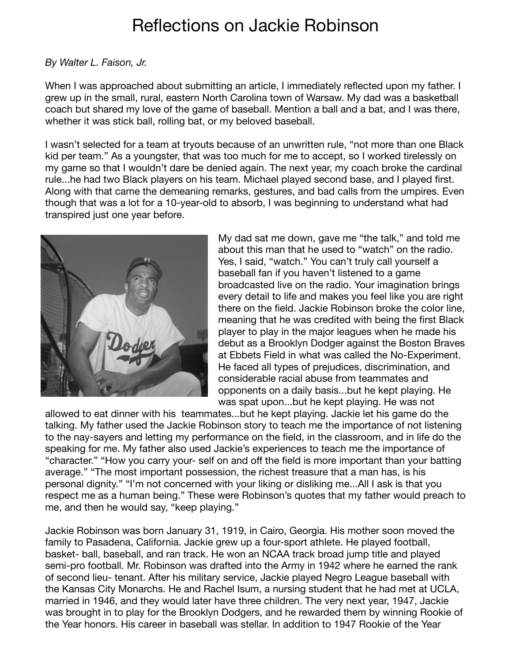## Reflections on Jackie Robinson

## *By Walter L. Faison, Jr.*

When I was approached about submitting an article, I immediately reflected upon my father. I grew up in the small, rural, eastern North Carolina town of Warsaw. My dad was a basketball coach but shared my love of the game of baseball. Mention a ball and a bat, and I was there, whether it was stick ball, rolling bat, or my beloved baseball.

I wasn't selected for a team at tryouts because of an unwritten rule, "not more than one Black kid per team." As a youngster, that was too much for me to accept, so I worked tirelessly on my game so that I wouldn't dare be denied again. The next year, my coach broke the cardinal rule...he had two Black players on his team. Michael played second base, and I played first. Along with that came the demeaning remarks, gestures, and bad calls from the umpires. Even though that was a lot for a 10-year-old to absorb, I was beginning to understand what had transpired just one year before.



My dad sat me down, gave me "the talk," and told me about this man that he used to "watch" on the radio. Yes, I said, "watch." You can't truly call yourself a baseball fan if you haven't listened to a game broadcasted live on the radio. Your imagination brings every detail to life and makes you feel like you are right there on the field. Jackie Robinson broke the color line, meaning that he was credited with being the first Black player to play in the major leagues when he made his debut as a Brooklyn Dodger against the Boston Braves at Ebbets Field in what was called the No-Experiment. He faced all types of prejudices, discrimination, and considerable racial abuse from teammates and opponents on a daily basis...but he kept playing. He was spat upon...but he kept playing. He was not

allowed to eat dinner with his teammates...but he kept playing. Jackie let his game do the talking. My father used the Jackie Robinson story to teach me the importance of not listening to the nay-sayers and letting my performance on the field, in the classroom, and in life do the speaking for me. My father also used Jackie's experiences to teach me the importance of "character." "How you carry your- self on and off the field is more important than your batting average." "The most important possession, the richest treasure that a man has, is his personal dignity." "I'm not concerned with your liking or disliking me...All I ask is that you respect me as a human being." These were Robinson's quotes that my father would preach to me, and then he would say, "keep playing."

Jackie Robinson was born January 31, 1919, in Cairo, Georgia. His mother soon moved the family to Pasadena, California. Jackie grew up a four-sport athlete. He played football, basket- ball, baseball, and ran track. He won an NCAA track broad jump title and played semi-pro football. Mr. Robinson was drafted into the Army in 1942 where he earned the rank of second lieu- tenant. After his military service, Jackie played Negro League baseball with the Kansas City Monarchs. He and Rachel Isum, a nursing student that he had met at UCLA, married in 1946, and they would later have three children. The very next year, 1947, Jackie was brought in to play for the Brooklyn Dodgers, and he rewarded them by winning Rookie of the Year honors. His career in baseball was stellar. In addition to 1947 Rookie of the Year